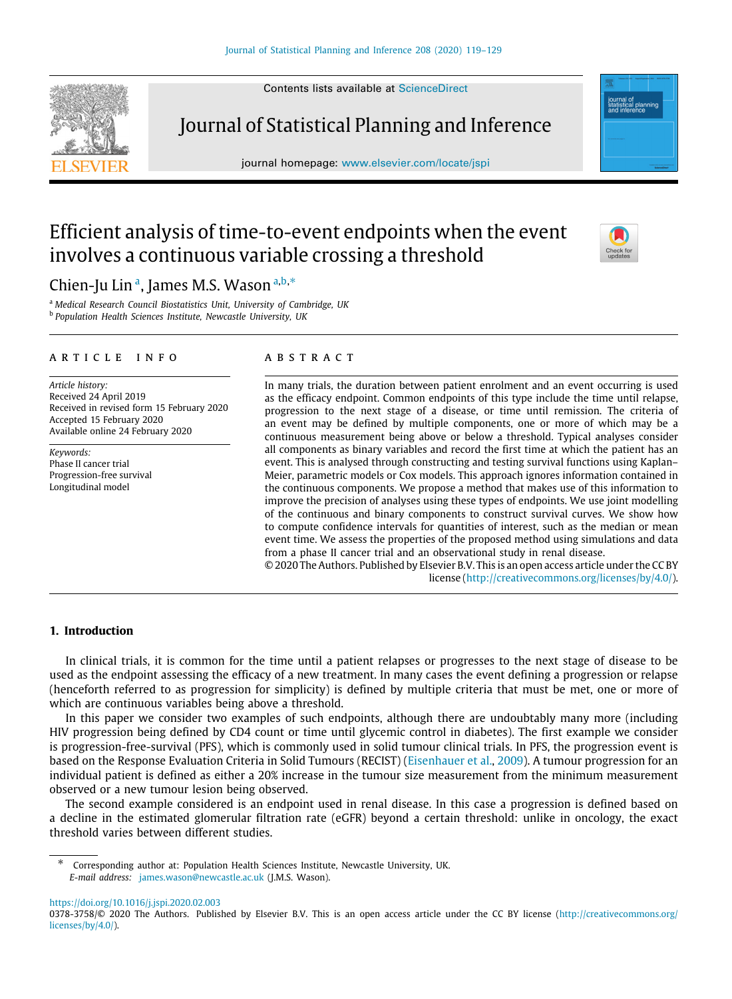Contents lists available at [ScienceDirect](http://www.elsevier.com/locate/jspi)

Journal of Statistical Planning and Inference

journal homepage: [www.elsevier.com/locate/jspi](http://www.elsevier.com/locate/jspi)

# Efficient analysis of time-to-event endpoints when the event involves a continuous variable crossing a threshold

# Chien-Ju Lin<sup>[a](#page-0-0)</sup>, James M.S. Wason <sup>a,[b](#page-0-1),\*</sup>

<span id="page-0-1"></span><span id="page-0-0"></span><sup>a</sup> *Medical Research Council Biostatistics Unit, University of Cambridge, UK* b *Population Health Sciences Institute, Newcastle University, UK*

#### a r t i c l e i n f o

*Article history:* Received 24 April 2019 Received in revised form 15 February 2020 Accepted 15 February 2020 Available online 24 February 2020

*Keywords:* Phase II cancer trial Progression-free survival Longitudinal model

# a b s t r a c t

In many trials, the duration between patient enrolment and an event occurring is used as the efficacy endpoint. Common endpoints of this type include the time until relapse, progression to the next stage of a disease, or time until remission. The criteria of an event may be defined by multiple components, one or more of which may be a continuous measurement being above or below a threshold. Typical analyses consider all components as binary variables and record the first time at which the patient has an event. This is analysed through constructing and testing survival functions using Kaplan– Meier, parametric models or Cox models. This approach ignores information contained in the continuous components. We propose a method that makes use of this information to improve the precision of analyses using these types of endpoints. We use joint modelling of the continuous and binary components to construct survival curves. We show how to compute confidence intervals for quantities of interest, such as the median or mean event time. We assess the properties of the proposed method using simulations and data from a phase II cancer trial and an observational study in renal disease.

© 2020 The Authors. Published by Elsevier B.V. This is an open access article under the CC BY license [\(http://creativecommons.org/licenses/by/4.0/](http://creativecommons.org/licenses/by/4.0/)).

# **1. Introduction**

In clinical trials, it is common for the time until a patient relapses or progresses to the next stage of disease to be used as the endpoint assessing the efficacy of a new treatment. In many cases the event defining a progression or relapse (henceforth referred to as progression for simplicity) is defined by multiple criteria that must be met, one or more of which are continuous variables being above a threshold.

In this paper we consider two examples of such endpoints, although there are undoubtably many more (including HIV progression being defined by CD4 count or time until glycemic control in diabetes). The first example we consider is progression-free-survival (PFS), which is commonly used in solid tumour clinical trials. In PFS, the progression event is based on the Response Evaluation Criteria in Solid Tumours (RECIST) [\(Eisenhauer et al.](#page-10-0), [2009](#page-10-0)). A tumour progression for an individual patient is defined as either a 20% increase in the tumour size measurement from the minimum measurement observed or a new tumour lesion being observed.

The second example considered is an endpoint used in renal disease. In this case a progression is defined based on a decline in the estimated glomerular filtration rate (eGFR) beyond a certain threshold: unlike in oncology, the exact threshold varies between different studies.

<https://doi.org/10.1016/j.jspi.2020.02.003>







<span id="page-0-2"></span><sup>∗</sup> Corresponding author at: Population Health Sciences Institute, Newcastle University, UK. *E-mail address:* [james.wason@newcastle.ac.uk](mailto:james.wason@newcastle.ac.uk) (J.M.S. Wason).

<sup>0378-3758/© 2020</sup> The Authors. Published by Elsevier B.V. This is an open access article under the CC BY license [\(http://creativecommons.org/](http://creativecommons.org/licenses/by/4.0/) [licenses/by/4.0/\)](http://creativecommons.org/licenses/by/4.0/).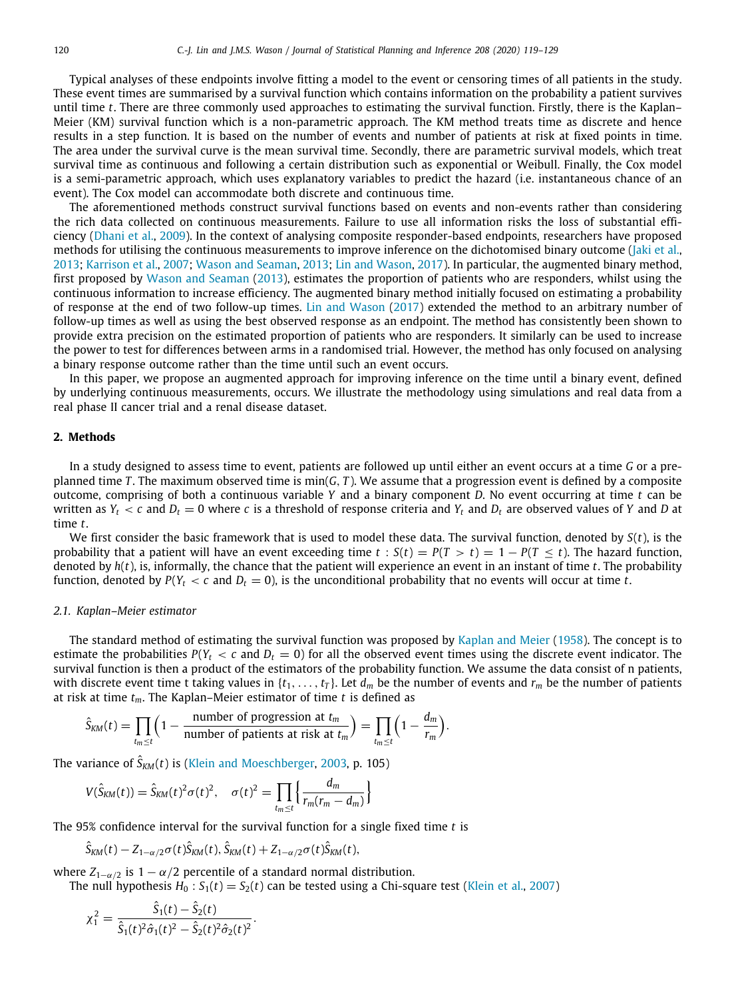Typical analyses of these endpoints involve fitting a model to the event or censoring times of all patients in the study. These event times are summarised by a survival function which contains information on the probability a patient survives until time *t*. There are three commonly used approaches to estimating the survival function. Firstly, there is the Kaplan– Meier (KM) survival function which is a non-parametric approach. The KM method treats time as discrete and hence results in a step function. It is based on the number of events and number of patients at risk at fixed points in time. The area under the survival curve is the mean survival time. Secondly, there are parametric survival models, which treat survival time as continuous and following a certain distribution such as exponential or Weibull. Finally, the Cox model is a semi-parametric approach, which uses explanatory variables to predict the hazard (i.e. instantaneous chance of an event). The Cox model can accommodate both discrete and continuous time.

The aforementioned methods construct survival functions based on events and non-events rather than considering the rich data collected on continuous measurements. Failure to use all information risks the loss of substantial efficiency ([Dhani et al.](#page-10-1), [2009](#page-10-1)). In the context of analysing composite responder-based endpoints, researchers have proposed methods for utilising the continuous measurements to improve inference on the dichotomised binary outcome (*[Jaki et al.](#page-10-2),* [2013](#page-10-2); [Karrison et al.](#page-10-3), [2007;](#page-10-3) [Wason and Seaman](#page-10-4), [2013](#page-10-4); [Lin and Wason](#page-10-5), [2017\)](#page-10-5). In particular, the augmented binary method, first proposed by [Wason and Seaman](#page-10-4) ([2013\)](#page-10-4), estimates the proportion of patients who are responders, whilst using the continuous information to increase efficiency. The augmented binary method initially focused on estimating a probability of response at the end of two follow-up times. [Lin and Wason](#page-10-5) ([2017](#page-10-5)) extended the method to an arbitrary number of follow-up times as well as using the best observed response as an endpoint. The method has consistently been shown to provide extra precision on the estimated proportion of patients who are responders. It similarly can be used to increase the power to test for differences between arms in a randomised trial. However, the method has only focused on analysing a binary response outcome rather than the time until such an event occurs.

In this paper, we propose an augmented approach for improving inference on the time until a binary event, defined by underlying continuous measurements, occurs. We illustrate the methodology using simulations and real data from a real phase II cancer trial and a renal disease dataset.

# **2. Methods**

In a study designed to assess time to event, patients are followed up until either an event occurs at a time *G* or a preplanned time *T* . The maximum observed time is min(*G*, *T* ). We assume that a progression event is defined by a composite outcome, comprising of both a continuous variable *Y* and a binary component *D*. No event occurring at time *t* can be written as  $Y_t < c$  and  $D_t = 0$  where *c* is a threshold of response criteria and  $Y_t$  and  $D_t$  are observed values of *Y* and *D* at time *t*.

We first consider the basic framework that is used to model these data. The survival function, denoted by *S*(*t*), is the probability that a patient will have an event exceeding time  $t : S(t) = P(T > t) = 1 - P(T \le t)$ . The hazard function, denoted by *h*(*t*), is, informally, the chance that the patient will experience an event in an instant of time *t*. The probability function, denoted by  $P(Y_t < c$  and  $D_t = 0)$ , is the unconditional probability that no events will occur at time *t*.

#### *2.1. Kaplan–Meier estimator*

The standard method of estimating the survival function was proposed by [Kaplan and Meier](#page-10-6) ([1958\)](#page-10-6). The concept is to estimate the probabilities  $P(Y_t < c$  and  $D_t = 0)$  for all the observed event times using the discrete event indicator. The survival function is then a product of the estimators of the probability function. We assume the data consist of n patients, with discrete event time t taking values in  $\{t_1, \ldots, t_T\}$ . Let  $d_m$  be the number of events and  $r_m$  be the number of patients at risk at time *tm*. The Kaplan–Meier estimator of time *t* is defined as

$$
\hat{S}_{KM}(t) = \prod_{t_m \leq t} \left(1 - \frac{\text{number of progression at } t_m}{\text{number of patients at risk at } t_m}\right) = \prod_{t_m \leq t} \left(1 - \frac{d_m}{r_m}\right).
$$

The variance of  $\hat{S}_{KM}(t)$  is [\(Klein and Moeschberger](#page-10-7), [2003,](#page-10-7) p. 105)

$$
V(\hat{S}_{KM}(t)) = \hat{S}_{KM}(t)^2 \sigma(t)^2, \quad \sigma(t)^2 = \prod_{t_m \leq t} \left\{ \frac{d_m}{r_m(r_m - d_m)} \right\}
$$

The 95% confidence interval for the survival function for a single fixed time *t* is

$$
\hat{S}_{KM}(t) - Z_{1-\alpha/2}\sigma(t)\hat{S}_{KM}(t), \hat{S}_{KM}(t) + Z_{1-\alpha/2}\sigma(t)\hat{S}_{KM}(t),
$$

where  $Z_{1-\alpha/2}$  is  $1-\alpha/2$  percentile of a standard normal distribution.

The null hypothesis  $H_0: S_1(t) = S_2(t)$  can be tested using a Chi-square test ([Klein et al.](#page-10-8), [2007](#page-10-8))

$$
\chi_1^2 = \frac{\hat{S}_1(t) - \hat{S}_2(t)}{\hat{S}_1(t)^2 \hat{\sigma}_1(t)^2 - \hat{S}_2(t)^2 \hat{\sigma}_2(t)^2}.
$$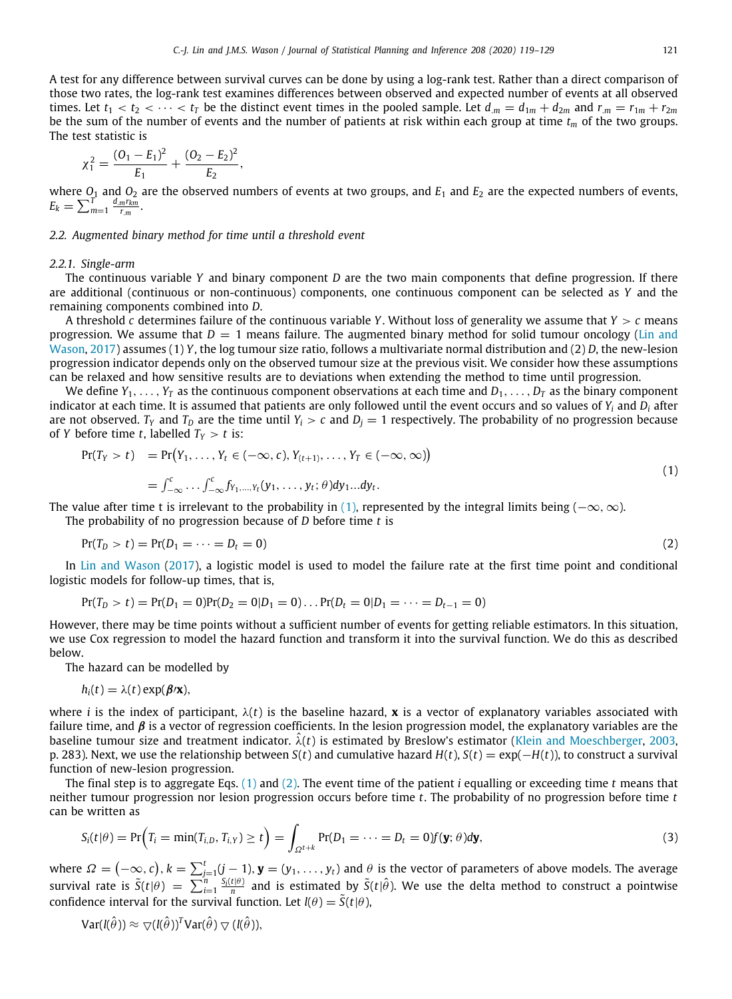A test for any difference between survival curves can be done by using a log-rank test. Rather than a direct comparison of those two rates, the log-rank test examines differences between observed and expected number of events at all observed times. Let  $t_1 < t_2 < \cdots < t_T$  be the distinct event times in the pooled sample. Let  $d_m = d_{1m} + d_{2m}$  and  $r_m = r_{1m} + r_{2m}$ be the sum of the number of events and the number of patients at risk within each group at time  $t_m$  of the two groups. The test statistic is

$$
\chi_1^2 = \frac{(O_1 - E_1)^2}{E_1} + \frac{(O_2 - E_2)^2}{E_2},
$$

where  $O_1$  and  $O_2$  are the observed numbers of events at two groups, and  $E_1$  and  $E_2$  are the expected numbers of events,  $E_k = \sum_{m=1}^{T} \frac{d_m r_{km}}{r_m}.$ 

#### *2.2. Augmented binary method for time until a threshold event*

#### *2.2.1. Single-arm*

<span id="page-2-2"></span>The continuous variable *Y* and binary component *D* are the two main components that define progression. If there are additional (continuous or non-continuous) components, one continuous component can be selected as *Y* and the remaining components combined into *D*.

A threshold *c* determines failure of the continuous variable *Y*. Without loss of generality we assume that *Y* > *c* means progression. We assume that  $D = 1$  means failure. The augmented binary method for solid tumour oncology [\(Lin and](#page-10-5) [Wason](#page-10-5), [2017](#page-10-5)) assumes (1) *Y*, the log tumour size ratio, follows a multivariate normal distribution and (2) *D*, the new-lesion progression indicator depends only on the observed tumour size at the previous visit. We consider how these assumptions can be relaxed and how sensitive results are to deviations when extending the method to time until progression.

We define  $Y_1, \ldots, Y_T$  as the continuous component observations at each time and  $D_1, \ldots, D_T$  as the binary component indicator at each time. It is assumed that patients are only followed until the event occurs and so values of *Y<sup>i</sup>* and *D<sup>i</sup>* after are not observed.  $T_Y$  and  $T_D$  are the time until  $Y_i > c$  and  $D_i = 1$  respectively. The probability of no progression because of *Y* before time *t*, labelled  $T_Y > t$  is:

<span id="page-2-0"></span>
$$
Pr(T_Y > t) = Pr(Y_1, \dots, Y_t \in (-\infty, c), Y_{(t+1)}, \dots, Y_T \in (-\infty, \infty))
$$
  
= 
$$
\int_{-\infty}^{c} \dots \int_{-\infty}^{c} f_{Y_1, \dots, Y_t}(y_1, \dots, y_t; \theta) dy_1 \dots dy_t.
$$
 (1)

The value after time t is irrelevant to the probability in ([1\)](#page-2-0), represented by the integral limits being ( $-\infty, \infty$ ).

The probability of no progression because of *D* before time *t* is

<span id="page-2-1"></span>
$$
Pr(T_D > t) = Pr(D_1 = \dots = D_t = 0)
$$
\n<sup>(2)</sup>

In [Lin and Wason](#page-10-5) ([2017\)](#page-10-5), a logistic model is used to model the failure rate at the first time point and conditional logistic models for follow-up times, that is,

$$
Pr(T_D > t) = Pr(D_1 = 0)Pr(D_2 = 0|D_1 = 0) \dots Pr(D_t = 0|D_1 = \dots = D_{t-1} = 0)
$$

However, there may be time points without a sufficient number of events for getting reliable estimators. In this situation, we use Cox regression to model the hazard function and transform it into the survival function. We do this as described below.

The hazard can be modelled by

$$
h_i(t) = \lambda(t) \exp(\beta/\mathbf{x}),
$$

where *i* is the index of participant,  $\lambda(t)$  is the baseline hazard, **x** is a vector of explanatory variables associated with failure time, and  $\beta$  is a vector of regression coefficients. In the lesion progression model, the explanatory variables are the baseline tumour size and treatment indicator. λ(*t*) is estimated by Breslow's estimator ([Klein and Moeschberger](#page-10-7), [2003](#page-10-7), p. 283). Next, we use the relationship between *S*(*t*) and cumulative hazard *H*(*t*), *S*(*t*) = exp(−*H*(*t*)), to construct a survival function of new-lesion progression.

The final step is to aggregate Eqs. ([1\)](#page-2-0) and [\(2\)](#page-2-1). The event time of the patient *i* equalling or exceeding time *t* means that neither tumour progression nor lesion progression occurs before time *t*. The probability of no progression before time *t* can be written as

<span id="page-2-3"></span>
$$
S_i(t|\theta) = \Pr(T_i = \min(T_{i,D}, T_{i,Y}) \ge t) = \int_{\Omega^{t+k}} \Pr(D_1 = \cdots = D_t = 0) f(\mathbf{y}; \theta) d\mathbf{y},
$$
\n(3)

where  $\varOmega=(-\infty,c),$   $k=\sum_{j=1}^t(j-1),$   ${\bf y}=(y_1,\ldots,y_t)$  and  $\theta$  is the vector of parameters of above models. The average survival rate is  $\tilde{S}(t|\theta) = \sum_{i=1}^n \frac{S_i(t|\theta)}{n}$  and is estimated by  $\tilde{S}(t|\hat{\theta})$ . We use the delta method to construct a pointwise confidence interval for the survival function. Let  $I(\theta) = \tilde{S}(t|\theta)$ ,

$$
\mathrm{Var}(I(\hat{\theta})) \approx \nabla (I(\hat{\theta}))^T \mathrm{Var}(\hat{\theta}) \nabla (I(\hat{\theta})),
$$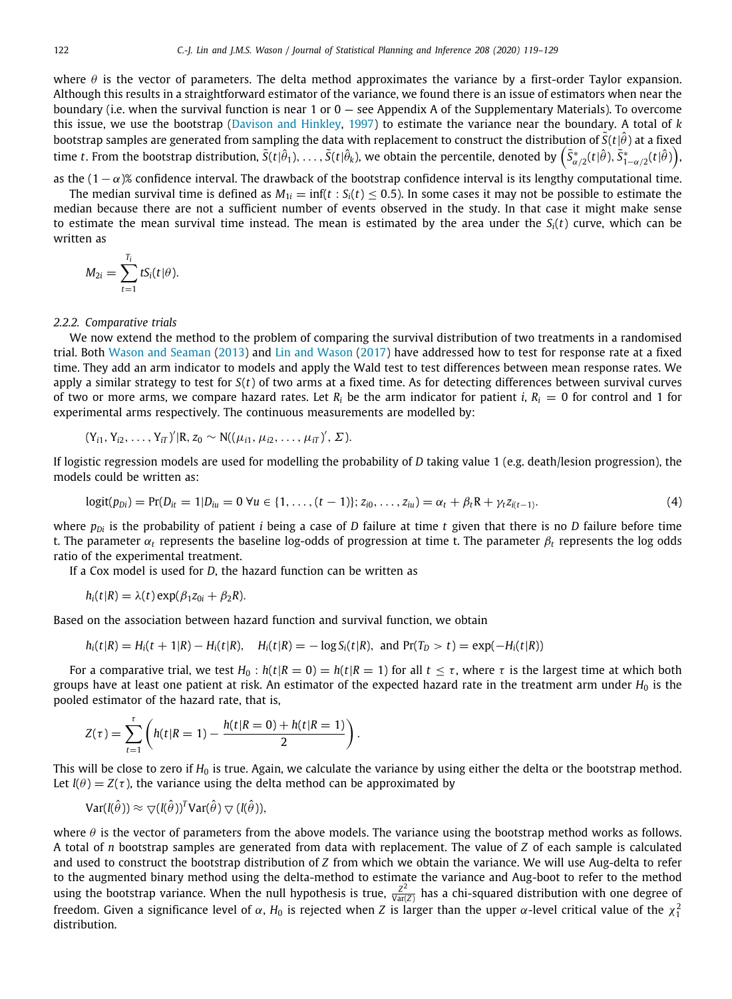where  $\theta$  is the vector of parameters. The delta method approximates the variance by a first-order Taylor expansion. Although this results in a straightforward estimator of the variance, we found there is an issue of estimators when near the boundary (i.e. when the survival function is near 1 or  $0 -$  see Appendix A of the Supplementary Materials). To overcome this issue, we use the bootstrap [\(Davison and Hinkley,](#page-10-9) [1997](#page-10-9)) to estimate the variance near the boundary. A total of *k* bootstrap samples are generated from sampling the data with replacement to construct the distribution of  $\tilde{S}(t|\hat{\theta})$  at a fixed time *t*. From the bootstrap distribution,  $\tilde{S}(t|\hat{\theta}_1),\ldots,\tilde{S}(t|\hat{\theta}_k)$ , we obtain the percentile, denoted by  $\left(\tilde{S}^*_{\alpha/2}(t|\hat{\theta}),\tilde{S}^*_{1-\alpha/2}(t|\hat{\theta})\right)$ 

as the  $(1 - \alpha)$ % confidence interval. The drawback of the bootstrap confidence interval is its lengthy computational time.

The median survival time is defined as  $M_{1i} = \inf(t : S_i(t) \le 0.5)$ . In some cases it may not be possible to estimate the median because there are not a sufficient number of events observed in the study. In that case it might make sense to estimate the mean survival time instead. The mean is estimated by the area under the *Si*(*t*) curve, which can be written as

$$
M_{2i}=\sum_{t=1}^{T_i}tS_i(t|\theta).
$$

### *2.2.2. Comparative trials*

We now extend the method to the problem of comparing the survival distribution of two treatments in a randomised trial. Both [Wason and Seaman](#page-10-4) ([2013\)](#page-10-4) and [Lin and Wason](#page-10-5) [\(2017](#page-10-5)) have addressed how to test for response rate at a fixed time. They add an arm indicator to models and apply the Wald test to test differences between mean response rates. We apply a similar strategy to test for *S*(*t*) of two arms at a fixed time. As for detecting differences between survival curves of two or more arms, we compare hazard rates. Let  $R_i$  be the arm indicator for patient *i*,  $R_i = 0$  for control and 1 for experimental arms respectively. The continuous measurements are modelled by:

$$
(Y_{i1}, Y_{i2}, \ldots, Y_{iT})^{\prime} | R, z_0 \sim N((\mu_{i1}, \mu_{i2}, \ldots, \mu_{iT})^{\prime}, \Sigma).
$$

If logistic regression models are used for modelling the probability of *D* taking value 1 (e.g. death/lesion progression), the models could be written as:

$$
logit(p_{Di}) = Pr(D_{it} = 1 | D_{iu} = 0 \ \forall u \in \{1, ..., (t-1)\}; z_{i0}, ..., z_{iu}) = \alpha_t + \beta_t R + \gamma_t z_{i(t-1)}.
$$
\n(4)

where *pDi* is the probability of patient *i* being a case of *D* failure at time *t* given that there is no *D* failure before time t. The parameter  $\alpha_t$  represents the baseline log-odds of progression at time t. The parameter  $\beta_t$  represents the log odds ratio of the experimental treatment.

If a Cox model is used for *D*, the hazard function can be written as

$$
h_i(t|R) = \lambda(t) \exp(\beta_1 z_{0i} + \beta_2 R).
$$

Based on the association between hazard function and survival function, we obtain

$$
h_i(t|R) = H_i(t + 1|R) - H_i(t|R)
$$
,  $H_i(t|R) = -\log S_i(t|R)$ , and  $Pr(T_D > t) = exp(-H_i(t|R))$ 

For a comparative trial, we test  $H_0$ :  $h(t|R = 0) = h(t|R = 1)$  for all  $t \leq \tau$ , where  $\tau$  is the largest time at which both groups have at least one patient at risk. An estimator of the expected hazard rate in the treatment arm under  $H_0$  is the pooled estimator of the hazard rate, that is,

$$
Z(\tau) = \sum_{t=1}^{\tau} \left( h(t|R=1) - \frac{h(t|R=0) + h(t|R=1)}{2} \right)
$$

This will be close to zero if H<sub>0</sub> is true. Again, we calculate the variance by using either the delta or the bootstrap method. Let  $I(\theta) = Z(\tau)$ , the variance using the delta method can be approximated by

.

$$
\mathrm{Var}(I(\hat{\theta})) \approx \nabla (I(\hat{\theta}))^T \mathrm{Var}(\hat{\theta}) \nabla (I(\hat{\theta})),
$$

where  $\theta$  is the vector of parameters from the above models. The variance using the bootstrap method works as follows. A total of *n* bootstrap samples are generated from data with replacement. The value of *Z* of each sample is calculated and used to construct the bootstrap distribution of *Z* from which we obtain the variance. We will use Aug-delta to refer to the augmented binary method using the delta-method to estimate the variance and Aug-boot to refer to the method using the bootstrap variance. When the null hypothesis is true,  $\frac{Z^2}{Var}$  $\frac{Z^2}{Var(Z)}$  has a chi-squared distribution with one degree of freedom. Given a significance level of  $\alpha$ ,  $H_0$  is rejected when Z is larger than the upper  $\alpha$ -level critical value of the  $\chi_1^2$ distribution.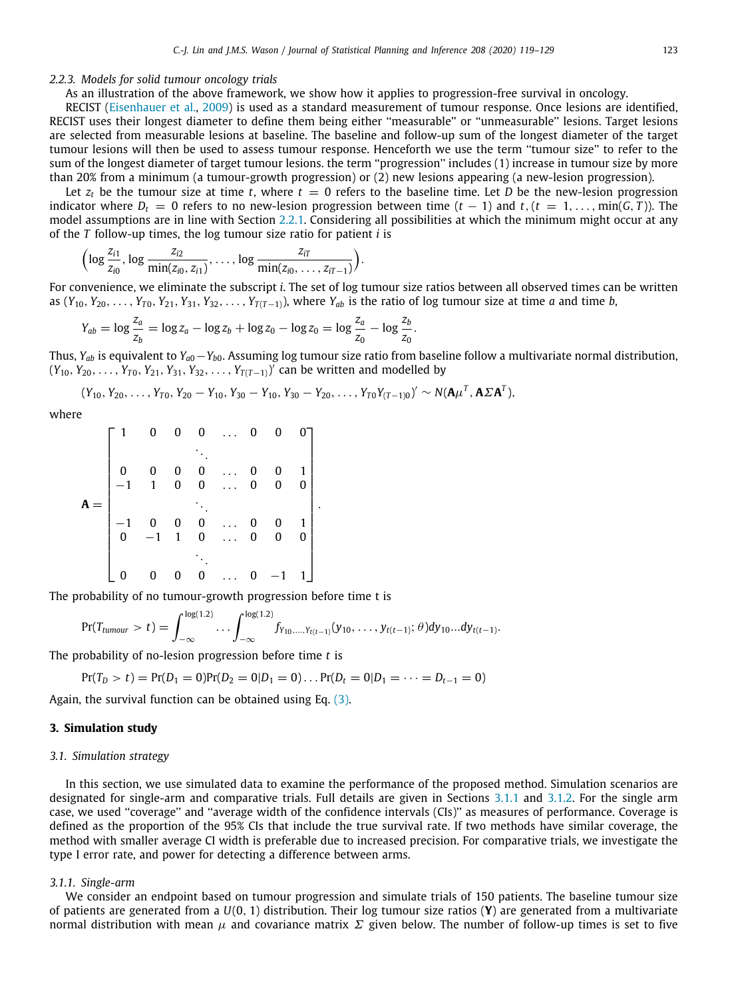#### *2.2.3. Models for solid tumour oncology trials*

As an illustration of the above framework, we show how it applies to progression-free survival in oncology.

RECIST [\(Eisenhauer et al.,](#page-10-0) [2009\)](#page-10-0) is used as a standard measurement of tumour response. Once lesions are identified, RECIST uses their longest diameter to define them being either ''measurable'' or ''unmeasurable'' lesions. Target lesions are selected from measurable lesions at baseline. The baseline and follow-up sum of the longest diameter of the target tumour lesions will then be used to assess tumour response. Henceforth we use the term ''tumour size'' to refer to the sum of the longest diameter of target tumour lesions. the term ''progression'' includes (1) increase in tumour size by more than 20% from a minimum (a tumour-growth progression) or (2) new lesions appearing (a new-lesion progression).

Let  $z_t$  be the tumour size at time *t*, where  $t = 0$  refers to the baseline time. Let *D* be the new-lesion progression indicator where  $D_t = 0$  refers to no new-lesion progression between time  $(t - 1)$  and  $t$ ,  $(t = 1, \ldots, \min(G, T))$ . The model assumptions are in line with Section [2.2.1](#page-2-2). Considering all possibilities at which the minimum might occur at any of the *T* follow-up times, the log tumour size ratio for patient *i* is

$$
\Bigl(\log \frac{z_{i1}}{z_{i0}}, \log \frac{z_{i2}}{\min(z_{i0}, z_{i1})}, \ldots, \log \frac{z_{iT}}{\min(z_{i0}, \ldots, z_{iT-1})}\Bigr).
$$

For convenience, we eliminate the subscript *i*. The set of log tumour size ratios between all observed times can be written as  $(Y_{10}, Y_{20}, \ldots, Y_{T0}, Y_{21}, Y_{31}, Y_{32}, \ldots, Y_{T(T-1)})$ , where  $Y_{ab}$  is the ratio of log tumour size at time *a* and time *b*,

$$
Y_{ab} = \log \frac{z_a}{z_b} = \log z_a - \log z_b + \log z_0 - \log z_0 = \log \frac{z_a}{z_0} - \log \frac{z_b}{z_0}.
$$

Thus, *Yab* is equivalent to *Ya*0−*Yb*0. Assuming log tumour size ratio from baseline follow a multivariate normal distribution,  $(Y_{10}, Y_{20}, \ldots, Y_{T0}, Y_{21}, Y_{31}, Y_{32}, \ldots, Y_{T(T-1)})'$  can be written and modelled by

 $(Y_{10}, Y_{20}, \ldots, Y_{T0}, Y_{20} - Y_{10}, Y_{30} - Y_{10}, Y_{30} - Y_{20}, \ldots, Y_{T0}Y_{(T-1)0})' \sim N(\mathbf{A}\mu^T, \mathbf{A}\Sigma \mathbf{A}^T),$ 

where

|  |                                                                  | $0\quad 0$                                  | $\mathbf{0}$ | $\bf{0}$                                       |  |
|--|------------------------------------------------------------------|---------------------------------------------|--------------|------------------------------------------------|--|
|  |                                                                  |                                             |              |                                                |  |
|  |                                                                  |                                             | 0            | $\begin{bmatrix} 0 & 1 \\ 0 & 0 \end{bmatrix}$ |  |
|  | $\begin{matrix} 0&0\\ -1&1 \end{matrix}$                         | $\begin{matrix} 0 & 0 \ 0 & 0 \end{matrix}$ | $\mathbf{0}$ |                                                |  |
|  |                                                                  |                                             |              |                                                |  |
|  |                                                                  |                                             | 0            | $\begin{bmatrix} 0 & 1 \\ 0 & 0 \end{bmatrix}$ |  |
|  | $\begin{bmatrix} -1 & 0 & 0 & 0 \\ 0 & -1 & 1 & 0 \end{bmatrix}$ |                                             | $\mathbf{0}$ |                                                |  |
|  |                                                                  |                                             |              |                                                |  |
|  |                                                                  | $\overline{0}$                              | 0            |                                                |  |

The probability of no tumour-growth progression before time t is

$$
\Pr(T_{tumour} > t) = \int_{-\infty}^{\log(1.2)} \dots \int_{-\infty}^{\log(1.2)} f_{Y_{10},...,Y_{t(t-1)}}(y_{10},...,y_{t(t-1)}; \theta) dy_{10}...dy_{t(t-1)}.
$$

The probability of no-lesion progression before time *t* is

$$
Pr(T_D > t) = Pr(D_1 = 0)Pr(D_2 = 0|D_1 = 0)... Pr(D_t = 0|D_1 = ... = D_{t-1} = 0)
$$

Again, the survival function can be obtained using Eq. ([3](#page-2-3)).

# **3. Simulation study**

### *3.1. Simulation strategy*

In this section, we use simulated data to examine the performance of the proposed method. Simulation scenarios are designated for single-arm and comparative trials. Full details are given in Sections [3.1.1](#page-4-0) and [3.1.2.](#page-5-0) For the single arm case, we used ''coverage'' and ''average width of the confidence intervals (CIs)'' as measures of performance. Coverage is defined as the proportion of the 95% CIs that include the true survival rate. If two methods have similar coverage, the method with smaller average CI width is preferable due to increased precision. For comparative trials, we investigate the type I error rate, and power for detecting a difference between arms.

#### *3.1.1. Single-arm*

<span id="page-4-0"></span>We consider an endpoint based on tumour progression and simulate trials of 150 patients. The baseline tumour size of patients are generated from a *U*(0, 1) distribution. Their log tumour size ratios (**Y**) are generated from a multivariate normal distribution with mean  $\mu$  and covariance matrix Σ given below. The number of follow-up times is set to five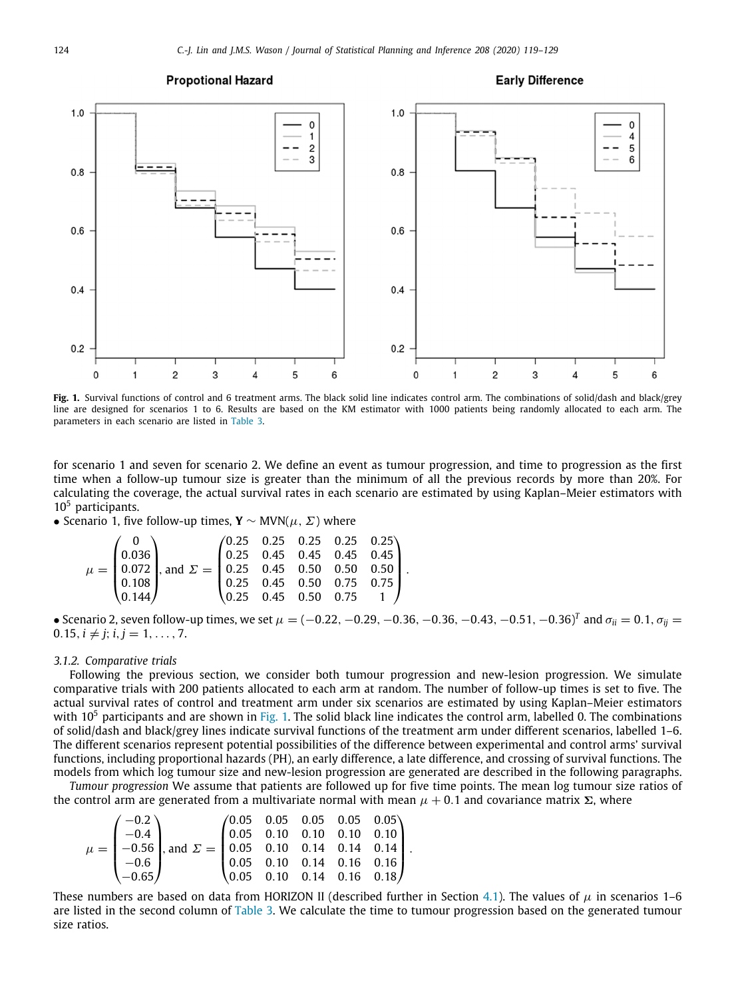#### **Propotional Hazard**

#### **Early Difference**



<span id="page-5-1"></span>**Fig. 1.** Survival functions of control and 6 treatment arms. The black solid line indicates control arm. The combinations of solid/dash and black/grey line are designed for scenarios 1 to 6. Results are based on the KM estimator with 1000 patients being randomly allocated to each arm. The parameters in each scenario are listed in [Table](#page-7-0) [3](#page-7-0).

for scenario 1 and seven for scenario 2. We define an event as tumour progression, and time to progression as the first time when a follow-up tumour size is greater than the minimum of all the previous records by more than 20%. For calculating the coverage, the actual survival rates in each scenario are estimated by using Kaplan–Meier estimators with  $10<sup>5</sup>$  participants.

• Scenario 1, five follow-up times, **Y** ∼ MVN( $\mu$ ,  $\Sigma$ ) where

|  | $\mu = \begin{pmatrix} 0 \\ 0.036 \\ 0.072 \\ 0.108 \\ 0.144 \end{pmatrix}$ , and $\Sigma = \begin{pmatrix} 0.25 & 0.25 & 0.25 & 0.25 & 0.25 \\ 0.25 & 0.45 & 0.45 & 0.45 & 0.45 \\ 0.25 & 0.45 & 0.50 & 0.50 & 0.50 \\ 0.25 & 0.45 & 0.50 & 0.75 & 0.75 \\ 0.25 & 0.45 & 0.50 & 0.75 & 1 \end{pmatrix}$ . |  |  |  |
|--|------------------------------------------------------------------------------------------------------------------------------------------------------------------------------------------------------------------------------------------------------------------------------------------------------------|--|--|--|
|  |                                                                                                                                                                                                                                                                                                            |  |  |  |
|  |                                                                                                                                                                                                                                                                                                            |  |  |  |
|  |                                                                                                                                                                                                                                                                                                            |  |  |  |
|  |                                                                                                                                                                                                                                                                                                            |  |  |  |

 $\bullet$  Scenario 2, seven follow-up times, we set  $\mu=(-0.22,-0.29,-0.36,-0.36,-0.43,-0.51,-0.36)^T$  and  $\sigma_{ii}=0.1,\sigma_{ij}=0.1$  $0.15, i \neq j; i, j = 1, \ldots, 7.$ 

## *3.1.2. Comparative trials*

<span id="page-5-0"></span>Following the previous section, we consider both tumour progression and new-lesion progression. We simulate comparative trials with 200 patients allocated to each arm at random. The number of follow-up times is set to five. The actual survival rates of control and treatment arm under six scenarios are estimated by using Kaplan–Meier estimators with  $10<sup>5</sup>$  $10<sup>5</sup>$  participants and are shown in [Fig.](#page-5-1) 1. The solid black line indicates the control arm, labelled 0. The combinations of solid/dash and black/grey lines indicate survival functions of the treatment arm under different scenarios, labelled 1–6. The different scenarios represent potential possibilities of the difference between experimental and control arms' survival functions, including proportional hazards (PH), an early difference, a late difference, and crossing of survival functions. The models from which log tumour size and new-lesion progression are generated are described in the following paragraphs.

*Tumour progression* We assume that patients are followed up for five time points. The mean log tumour size ratios of the control arm are generated from a multivariate normal with mean  $\mu$  + 0.1 and covariance matrix Σ, where

$$
\mu = \begin{pmatrix} -0.2 \\ -0.4 \\ -0.56 \\ -0.65 \end{pmatrix}, \text{ and } \Sigma = \begin{pmatrix} 0.05 & 0.05 & 0.05 & 0.05 & 0.05 \\ 0.05 & 0.10 & 0.10 & 0.10 & 0.10 \\ 0.05 & 0.10 & 0.14 & 0.14 & 0.14 \\ 0.05 & 0.10 & 0.14 & 0.16 & 0.16 \\ 0.05 & 0.10 & 0.14 & 0.16 & 0.18 \end{pmatrix}.
$$

These numbers are based on data from HORIZON II (described further in Section [4.1\)](#page-6-0). The values of  $\mu$  in scenarios 1–6 are listed in the second column of [Table](#page-7-0) [3.](#page-7-0) We calculate the time to tumour progression based on the generated tumour size ratios.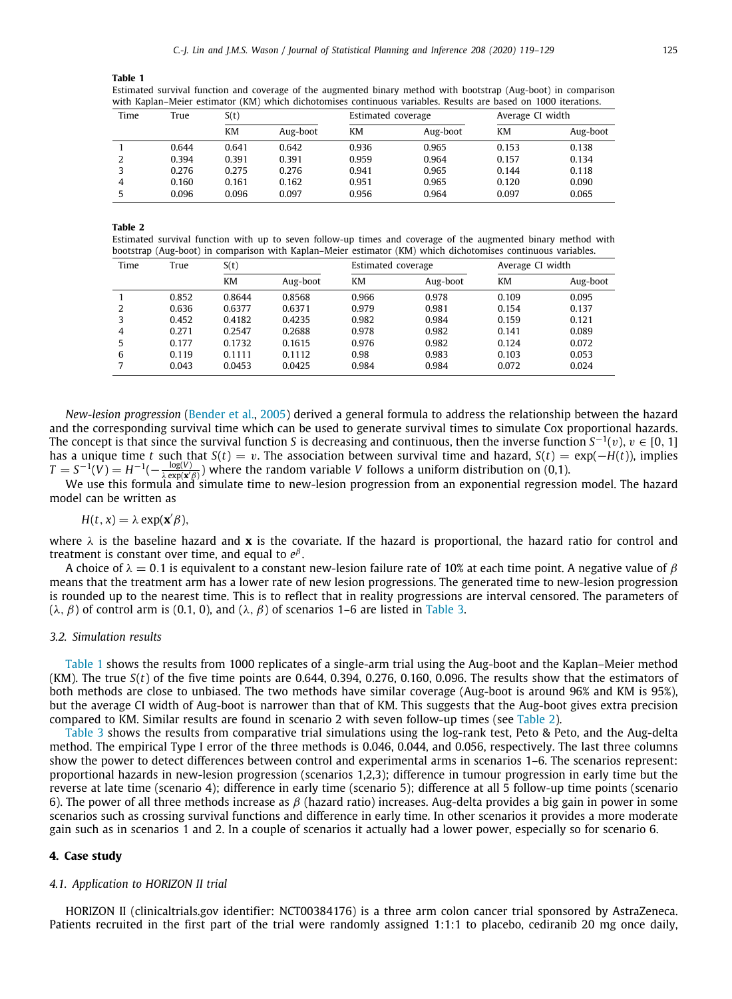<span id="page-6-1"></span>Estimated survival function and coverage of the augmented binary method with bootstrap (Aug-boot) in comparison with Kaplan–Meier estimator (KM) which dichotomises continuous variables. Results are based on 1000 iterations.

| Time | True  | S(t)  |          | Estimated coverage |          | Average CI width |          |  |
|------|-------|-------|----------|--------------------|----------|------------------|----------|--|
|      |       | КM    | Aug-boot | KM                 | Aug-boot | KM               | Aug-boot |  |
|      | 0.644 | 0.641 | 0.642    | 0.936              | 0.965    | 0.153            | 0.138    |  |
|      | 0.394 | 0.391 | 0.391    | 0.959              | 0.964    | 0.157            | 0.134    |  |
|      | 0.276 | 0.275 | 0.276    | 0.941              | 0.965    | 0.144            | 0.118    |  |
| 4    | 0.160 | 0.161 | 0.162    | 0.951              | 0.965    | 0.120            | 0.090    |  |
| 5    | 0.096 | 0.096 | 0.097    | 0.956              | 0.964    | 0.097            | 0.065    |  |

**Table 2**

<span id="page-6-2"></span>Estimated survival function with up to seven follow-up times and coverage of the augmented binary method with bootstrap (Aug-boot) in comparison with Kaplan–Meier estimator (KM) which dichotomises continuous variables.

| Time | True  | S(t)   |          |       | Estimated coverage |       | Average CI width |  |
|------|-------|--------|----------|-------|--------------------|-------|------------------|--|
|      |       | КM     | Aug-boot | КM    | Aug-boot           | KM    | Aug-boot         |  |
|      | 0.852 | 0.8644 | 0.8568   | 0.966 | 0.978              | 0.109 | 0.095            |  |
| 2    | 0.636 | 0.6377 | 0.6371   | 0.979 | 0.981              | 0.154 | 0.137            |  |
| 3    | 0.452 | 0.4182 | 0.4235   | 0.982 | 0.984              | 0.159 | 0.121            |  |
| 4    | 0.271 | 0.2547 | 0.2688   | 0.978 | 0.982              | 0.141 | 0.089            |  |
|      | 0.177 | 0.1732 | 0.1615   | 0.976 | 0.982              | 0.124 | 0.072            |  |
| 6    | 0.119 | 0.1111 | 0.1112   | 0.98  | 0.983              | 0.103 | 0.053            |  |
|      | 0.043 | 0.0453 | 0.0425   | 0.984 | 0.984              | 0.072 | 0.024            |  |

*New-lesion progression* [\(Bender et al.](#page-10-10), [2005\)](#page-10-10) derived a general formula to address the relationship between the hazard and the corresponding survival time which can be used to generate survival times to simulate Cox proportional hazards. The concept is that since the survival function *S* is decreasing and continuous, then the inverse function  $S^{-1}(v)$ ,  $v \in [0, 1]$ has a unique time *t* such that  $S(t) = v$ . The association between survival time and hazard,  $S(t) = \exp(-H(t))$ , implies  $T = S^{-1}(V) = H^{-1}(-\frac{\log(V)}{\lambda \exp(x/\beta)})$  where the random variable *V* follows a uniform distribution on (0,1).

We use this formula and simulate time to new-lesion progression from an exponential regression model. The hazard model can be written as

$$
H(t, x) = \lambda \exp(\mathbf{x}'\beta),
$$

where  $\lambda$  is the baseline hazard and **x** is the covariate. If the hazard is proportional, the hazard ratio for control and treatment is constant over time, and equal to *e* β .

A choice of  $\lambda = 0.1$  is equivalent to a constant new-lesion failure rate of 10% at each time point. A negative value of  $\beta$ means that the treatment arm has a lower rate of new lesion progressions. The generated time to new-lesion progression is rounded up to the nearest time. This is to reflect that in reality progressions are interval censored. The parameters of (λ, β) of control arm is (0.1, 0), and (λ, β) of scenarios 1–6 are listed in [Table](#page-7-0) [3](#page-7-0).

# *3.2. Simulation results*

[Table](#page-6-1) [1](#page-6-1) shows the results from 1000 replicates of a single-arm trial using the Aug-boot and the Kaplan–Meier method (KM). The true *S*(*t*) of the five time points are 0.644, 0.394, 0.276, 0.160, 0.096. The results show that the estimators of both methods are close to unbiased. The two methods have similar coverage (Aug-boot is around 96% and KM is 95%), but the average CI width of Aug-boot is narrower than that of KM. This suggests that the Aug-boot gives extra precision compared to KM. Similar results are found in scenario 2 with seven follow-up times (see [Table](#page-6-2) [2](#page-6-2)).

[Table](#page-7-0) [3](#page-7-0) shows the results from comparative trial simulations using the log-rank test, Peto & Peto, and the Aug-delta method. The empirical Type I error of the three methods is 0.046, 0.044, and 0.056, respectively. The last three columns show the power to detect differences between control and experimental arms in scenarios 1–6. The scenarios represent: proportional hazards in new-lesion progression (scenarios 1,2,3); difference in tumour progression in early time but the reverse at late time (scenario 4); difference in early time (scenario 5); difference at all 5 follow-up time points (scenario 6). The power of all three methods increase as  $\beta$  (hazard ratio) increases. Aug-delta provides a big gain in power in some scenarios such as crossing survival functions and difference in early time. In other scenarios it provides a more moderate gain such as in scenarios 1 and 2. In a couple of scenarios it actually had a lower power, especially so for scenario 6.

## **4. Case study**

#### *4.1. Application to HORIZON II trial*

<span id="page-6-0"></span>HORIZON II (clinicaltrials.gov identifier: NCT00384176) is a three arm colon cancer trial sponsored by AstraZeneca. Patients recruited in the first part of the trial were randomly assigned 1:1:1 to placebo, cediranib 20 mg once daily,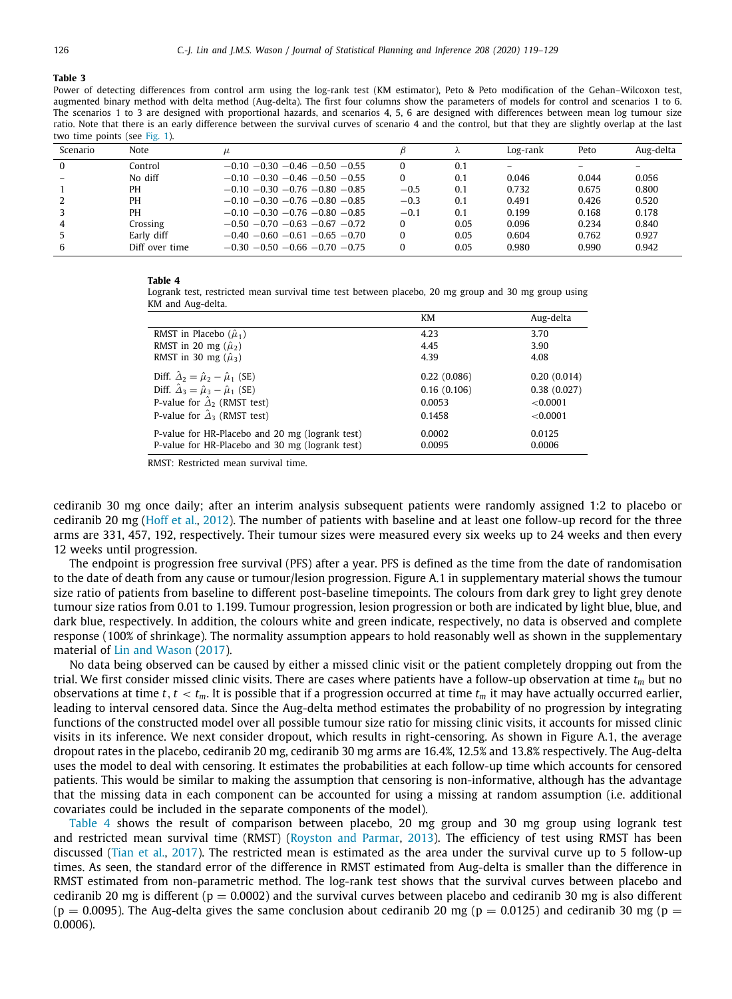#### **Table 3**

Power of detecting differences from control arm using the log-rank test (KM estimator), Peto & Peto modification of the Gehan–Wilcoxon test, augmented binary method with delta method (Aug-delta). The first four columns show the parameters of models for control and scenarios 1 to 6. The scenarios 1 to 3 are designed with proportional hazards, and scenarios 4, 5, 6 are designed with differences between mean log tumour size ratio. Note that there is an early difference between the survival curves of scenario 4 and the control, but that they are slightly overlap at the last two time points (see [Fig.](#page-5-1) [1\)](#page-5-1).

<span id="page-7-0"></span>

| Scenario | <b>Note</b>    | $\mu$                               |        |      | Log-rank | Peto  | Aug-delta |
|----------|----------------|-------------------------------------|--------|------|----------|-------|-----------|
| $\Omega$ | Control        | $-0.10 - 0.30 - 0.46 - 0.50 - 0.55$ |        | 0.1  |          |       |           |
|          | No diff        | $-0.10 - 0.30 - 0.46 - 0.50 - 0.55$ |        | 0.1  | 0.046    | 0.044 | 0.056     |
|          | PH             | $-0.10 - 0.30 - 0.76 - 0.80 - 0.85$ | $-0.5$ | 0.1  | 0.732    | 0.675 | 0.800     |
|          | PH             | $-0.10 - 0.30 - 0.76 - 0.80 - 0.85$ | $-0.3$ | 0.1  | 0.491    | 0.426 | 0.520     |
|          | PН             | $-0.10 - 0.30 - 0.76 - 0.80 - 0.85$ | $-0.1$ | 0.1  | 0.199    | 0.168 | 0.178     |
| 4        | Crossing       | $-0.50 - 0.70 - 0.63 - 0.67 - 0.72$ |        | 0.05 | 0.096    | 0.234 | 0.840     |
|          | Early diff     | $-0.40 - 0.60 - 0.61 - 0.65 - 0.70$ |        | 0.05 | 0.604    | 0.762 | 0.927     |
| 6        | Diff over time | $-0.30 - 0.50 - 0.66 - 0.70 - 0.75$ |        | 0.05 | 0.980    | 0.990 | 0.942     |

#### **Table 4**

<span id="page-7-1"></span>Logrank test, restricted mean survival time test between placebo, 20 mg group and 30 mg group using KM and Aug-delta.

|                                                                                                    | KM               | Aug-delta        |
|----------------------------------------------------------------------------------------------------|------------------|------------------|
| RMST in Placebo $(\hat{\mu}_1)$                                                                    | 4.23             | 3.70             |
| RMST in 20 mg $(\hat{\mu}_2)$                                                                      | 4.45             | 3.90             |
| RMST in 30 mg $(\hat{\mu}_3)$                                                                      | 4.39             | 4.08             |
| Diff. $\hat{\Delta}_2 = \hat{\mu}_2 - \hat{\mu}_1$ (SE)                                            | 0.22(0.086)      | 0.20(0.014)      |
| Diff. $\hat{\Delta}_3 = \hat{\mu}_3 - \hat{\mu}_1$ (SE)                                            | 0.16(0.106)      | 0.38(0.027)      |
| P-value for $\hat{\Delta}_2$ (RMST test)                                                           | 0.0053           | < 0.0001         |
| P-value for $\hat{\Delta}_3$ (RMST test)                                                           | 0.1458           | < 0.0001         |
| P-value for HR-Placebo and 20 mg (logrank test)<br>P-value for HR-Placebo and 30 mg (logrank test) | 0.0002<br>0.0095 | 0.0125<br>0.0006 |

RMST: Restricted mean survival time.

cediranib 30 mg once daily; after an interim analysis subsequent patients were randomly assigned 1:2 to placebo or cediranib 20 mg ([Hoff et al.,](#page-10-11) [2012](#page-10-11)). The number of patients with baseline and at least one follow-up record for the three arms are 331, 457, 192, respectively. Their tumour sizes were measured every six weeks up to 24 weeks and then every 12 weeks until progression.

The endpoint is progression free survival (PFS) after a year. PFS is defined as the time from the date of randomisation to the date of death from any cause or tumour/lesion progression. Figure A.1 in supplementary material shows the tumour size ratio of patients from baseline to different post-baseline timepoints. The colours from dark grey to light grey denote tumour size ratios from 0.01 to 1.199. Tumour progression, lesion progression or both are indicated by light blue, blue, and dark blue, respectively. In addition, the colours white and green indicate, respectively, no data is observed and complete response (100% of shrinkage). The normality assumption appears to hold reasonably well as shown in the supplementary material of [Lin and Wason](#page-10-5) ([2017\)](#page-10-5).

No data being observed can be caused by either a missed clinic visit or the patient completely dropping out from the trial. We first consider missed clinic visits. There are cases where patients have a follow-up observation at time *t<sup>m</sup>* but no observations at time *t*,  $t < t_m$ . It is possible that if a progression occurred at time  $t_m$  it may have actually occurred earlier, leading to interval censored data. Since the Aug-delta method estimates the probability of no progression by integrating functions of the constructed model over all possible tumour size ratio for missing clinic visits, it accounts for missed clinic visits in its inference. We next consider dropout, which results in right-censoring. As shown in Figure A.1, the average dropout rates in the placebo, cediranib 20 mg, cediranib 30 mg arms are 16.4%, 12.5% and 13.8% respectively. The Aug-delta uses the model to deal with censoring. It estimates the probabilities at each follow-up time which accounts for censored patients. This would be similar to making the assumption that censoring is non-informative, although has the advantage that the missing data in each component can be accounted for using a missing at random assumption (i.e. additional covariates could be included in the separate components of the model).

[Table](#page-7-1) [4](#page-7-1) shows the result of comparison between placebo, 20 mg group and 30 mg group using logrank test and restricted mean survival time (RMST) [\(Royston and Parmar](#page-10-12), [2013\)](#page-10-12). The efficiency of test using RMST has been discussed [\(Tian et al.,](#page-10-13) [2017](#page-10-13)). The restricted mean is estimated as the area under the survival curve up to 5 follow-up times. As seen, the standard error of the difference in RMST estimated from Aug-delta is smaller than the difference in RMST estimated from non-parametric method. The log-rank test shows that the survival curves between placebo and cediranib 20 mg is different ( $p = 0.0002$ ) and the survival curves between placebo and cediranib 30 mg is also different (p = 0.0095). The Aug-delta gives the same conclusion about cediranib 20 mg (p = 0.0125) and cediranib 30 mg (p = 0.0006).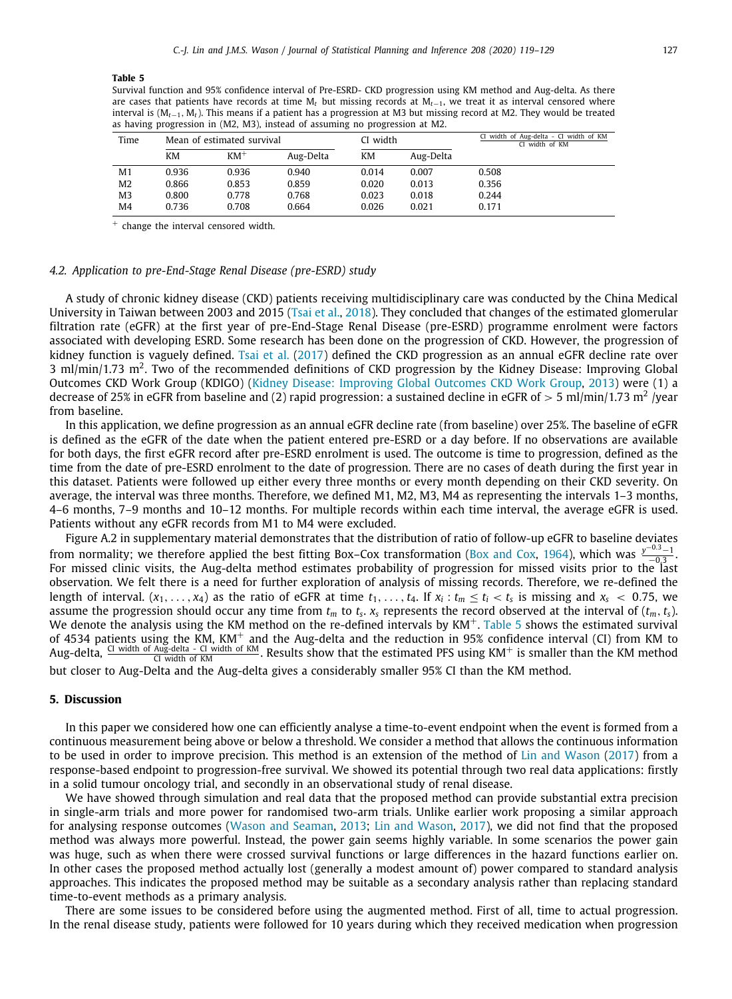#### **Table 5**

Survival function and 95% confidence interval of Pre-ESRD- CKD progression using KM method and Aug-delta. As there are cases that patients have records at time M*<sup>t</sup>* but missing records at M*t*−1, we treat it as interval censored where interval is (M*t*−1, M*t*). This means if a patient has a progression at M3 but missing record at M2. They would be treated as having progression in (M2, M3), instead of assuming no progression at M2.

<span id="page-8-0"></span>

| Time | Mean of estimated survival |        |           | CI width |           | CI width of Aug-delta - CI width of KM<br>CI width of KM |
|------|----------------------------|--------|-----------|----------|-----------|----------------------------------------------------------|
|      | KM                         | $KM^+$ | Aug-Delta | КM       | Aug-Delta |                                                          |
| M1   | 0.936                      | 0.936  | 0.940     | 0.014    | 0.007     | 0.508                                                    |
| M2   | 0.866                      | 0.853  | 0.859     | 0.020    | 0.013     | 0.356                                                    |
| M3   | 0.800                      | 0.778  | 0.768     | 0.023    | 0.018     | 0.244                                                    |
| M4   | 0.736                      | 0.708  | 0.664     | 0.026    | 0.021     | 0.171                                                    |

<sup>+</sup> change the interval censored width.

# *4.2. Application to pre-End-Stage Renal Disease (pre-ESRD) study*

A study of chronic kidney disease (CKD) patients receiving multidisciplinary care was conducted by the China Medical University in Taiwan between 2003 and 2015 ([Tsai et al.,](#page-10-14) [2018](#page-10-14)). They concluded that changes of the estimated glomerular filtration rate (eGFR) at the first year of pre-End-Stage Renal Disease (pre-ESRD) programme enrolment were factors associated with developing ESRD. Some research has been done on the progression of CKD. However, the progression of kidney function is vaguely defined. [Tsai et al.](#page-10-15) ([2017\)](#page-10-15) defined the CKD progression as an annual eGFR decline rate over 3 ml/min/1.73 m<sup>2</sup>. Two of the recommended definitions of CKD progression by the Kidney Disease: Improving Global Outcomes CKD Work Group (KDIGO) ([Kidney Disease: Improving Global Outcomes CKD Work Group,](#page-10-16) [2013](#page-10-16)) were (1) a decrease of 25% in eGFR from baseline and (2) rapid progression: a sustained decline in eGFR of  $>5$  ml/min/1.73 m<sup>2</sup> /year from baseline.

In this application, we define progression as an annual eGFR decline rate (from baseline) over 25%. The baseline of eGFR is defined as the eGFR of the date when the patient entered pre-ESRD or a day before. If no observations are available for both days, the first eGFR record after pre-ESRD enrolment is used. The outcome is time to progression, defined as the time from the date of pre-ESRD enrolment to the date of progression. There are no cases of death during the first year in this dataset. Patients were followed up either every three months or every month depending on their CKD severity. On average, the interval was three months. Therefore, we defined M1, M2, M3, M4 as representing the intervals 1–3 months, 4–6 months, 7–9 months and 10–12 months. For multiple records within each time interval, the average eGFR is used. Patients without any eGFR records from M1 to M4 were excluded.

Figure A.2 in supplementary material demonstrates that the distribution of ratio of follow-up eGFR to baseline deviates from normality; we therefore applied the best fitting Box–Cox transformation [\(Box and Cox,](#page-10-17) [1964](#page-10-17)), which was  $\frac{y^{-0.3}-1}{-0.3}$ . For missed clinic visits, the Aug-delta method estimates probability of progression for missed visits prior to the last observation. We felt there is a need for further exploration of analysis of missing records. Therefore, we re-defined the length of interval.  $(x_1,...,x_4)$  as the ratio of eGFR at time  $t_1,...,t_4$ . If  $x_i:t_m\leq t_i < t_s$  is missing and  $x_s < 0.75$ , we assume the progression should occur any time from  $t_m$  to  $t_s$ .  $x_s$  represents the record observed at the interval of  $(t_m, t_s)$ . We denote the analysis using the KM method on the re-defined intervals by  $KM^+$ . [Table](#page-8-0) [5](#page-8-0) shows the estimated survival of 4534 patients using the KM, KM<sup>+</sup> and the Aug-delta and the reduction in 95% confidence interval (CI) from KM to Aug-delta, CI width of Aug-delta - CI width of KM. Results show that the estimated PFS using KM<sup>+</sup> is smaller than the KM method

but closer to Aug-Delta and the Aug-delta gives a considerably smaller 95% CI than the KM method.

# **5. Discussion**

In this paper we considered how one can efficiently analyse a time-to-event endpoint when the event is formed from a continuous measurement being above or below a threshold. We consider a method that allows the continuous information to be used in order to improve precision. This method is an extension of the method of [Lin and Wason](#page-10-5) ([2017](#page-10-5)) from a response-based endpoint to progression-free survival. We showed its potential through two real data applications: firstly in a solid tumour oncology trial, and secondly in an observational study of renal disease.

We have showed through simulation and real data that the proposed method can provide substantial extra precision in single-arm trials and more power for randomised two-arm trials. Unlike earlier work proposing a similar approach for analysing response outcomes [\(Wason and Seaman](#page-10-4), [2013;](#page-10-4) [Lin and Wason](#page-10-5), [2017\)](#page-10-5), we did not find that the proposed method was always more powerful. Instead, the power gain seems highly variable. In some scenarios the power gain was huge, such as when there were crossed survival functions or large differences in the hazard functions earlier on. In other cases the proposed method actually lost (generally a modest amount of) power compared to standard analysis approaches. This indicates the proposed method may be suitable as a secondary analysis rather than replacing standard time-to-event methods as a primary analysis.

There are some issues to be considered before using the augmented method. First of all, time to actual progression. In the renal disease study, patients were followed for 10 years during which they received medication when progression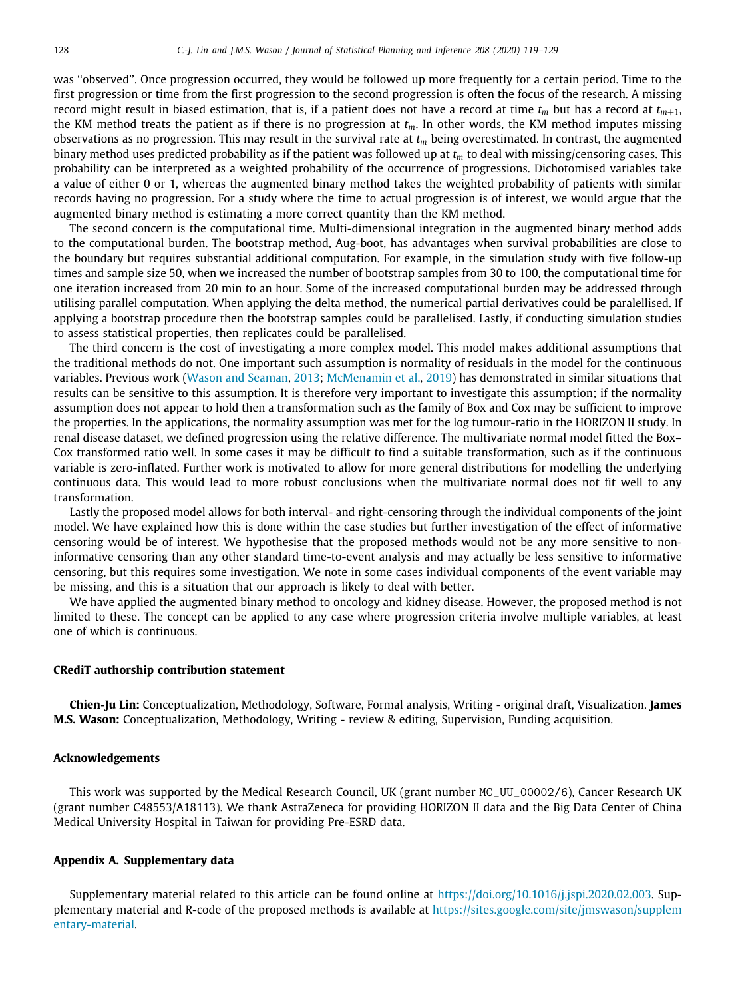was ''observed''. Once progression occurred, they would be followed up more frequently for a certain period. Time to the first progression or time from the first progression to the second progression is often the focus of the research. A missing record might result in biased estimation, that is, if a patient does not have a record at time  $t_m$  but has a record at  $t_{m+1}$ , the KM method treats the patient as if there is no progression at  $t_m$ . In other words, the KM method imputes missing observations as no progression. This may result in the survival rate at *t<sup>m</sup>* being overestimated. In contrast, the augmented binary method uses predicted probability as if the patient was followed up at *t<sup>m</sup>* to deal with missing/censoring cases. This probability can be interpreted as a weighted probability of the occurrence of progressions. Dichotomised variables take a value of either 0 or 1, whereas the augmented binary method takes the weighted probability of patients with similar records having no progression. For a study where the time to actual progression is of interest, we would argue that the augmented binary method is estimating a more correct quantity than the KM method.

The second concern is the computational time. Multi-dimensional integration in the augmented binary method adds to the computational burden. The bootstrap method, Aug-boot, has advantages when survival probabilities are close to the boundary but requires substantial additional computation. For example, in the simulation study with five follow-up times and sample size 50, when we increased the number of bootstrap samples from 30 to 100, the computational time for one iteration increased from 20 min to an hour. Some of the increased computational burden may be addressed through utilising parallel computation. When applying the delta method, the numerical partial derivatives could be paralellised. If applying a bootstrap procedure then the bootstrap samples could be parallelised. Lastly, if conducting simulation studies to assess statistical properties, then replicates could be parallelised.

The third concern is the cost of investigating a more complex model. This model makes additional assumptions that the traditional methods do not. One important such assumption is normality of residuals in the model for the continuous variables. Previous work [\(Wason and Seaman](#page-10-4), [2013](#page-10-4); [McMenamin et al.,](#page-10-18) [2019](#page-10-18)) has demonstrated in similar situations that results can be sensitive to this assumption. It is therefore very important to investigate this assumption; if the normality assumption does not appear to hold then a transformation such as the family of Box and Cox may be sufficient to improve the properties. In the applications, the normality assumption was met for the log tumour-ratio in the HORIZON II study. In renal disease dataset, we defined progression using the relative difference. The multivariate normal model fitted the Box– Cox transformed ratio well. In some cases it may be difficult to find a suitable transformation, such as if the continuous variable is zero-inflated. Further work is motivated to allow for more general distributions for modelling the underlying continuous data. This would lead to more robust conclusions when the multivariate normal does not fit well to any transformation.

Lastly the proposed model allows for both interval- and right-censoring through the individual components of the joint model. We have explained how this is done within the case studies but further investigation of the effect of informative censoring would be of interest. We hypothesise that the proposed methods would not be any more sensitive to noninformative censoring than any other standard time-to-event analysis and may actually be less sensitive to informative censoring, but this requires some investigation. We note in some cases individual components of the event variable may be missing, and this is a situation that our approach is likely to deal with better.

We have applied the augmented binary method to oncology and kidney disease. However, the proposed method is not limited to these. The concept can be applied to any case where progression criteria involve multiple variables, at least one of which is continuous.

# **CRediT authorship contribution statement**

**Chien-Ju Lin:** Conceptualization, Methodology, Software, Formal analysis, Writing - original draft, Visualization. **James M.S. Wason:** Conceptualization, Methodology, Writing - review & editing, Supervision, Funding acquisition.

### **Acknowledgements**

This work was supported by the Medical Research Council, UK (grant number MC\_UU\_00002/6), Cancer Research UK (grant number C48553/A18113). We thank AstraZeneca for providing HORIZON II data and the Big Data Center of China Medical University Hospital in Taiwan for providing Pre-ESRD data.

# **Appendix A. Supplementary data**

Supplementary material related to this article can be found online at [https://doi.org/10.1016/j.jspi.2020.02.003.](https://doi.org/10.1016/j.jspi.2020.02.003) Supplementary material and R-code of the proposed methods is available at [https://sites.google.com/site/jmswason/supplem](https://sites.google.com/site/jmswason/supplementary-material) [entary-material](https://sites.google.com/site/jmswason/supplementary-material).